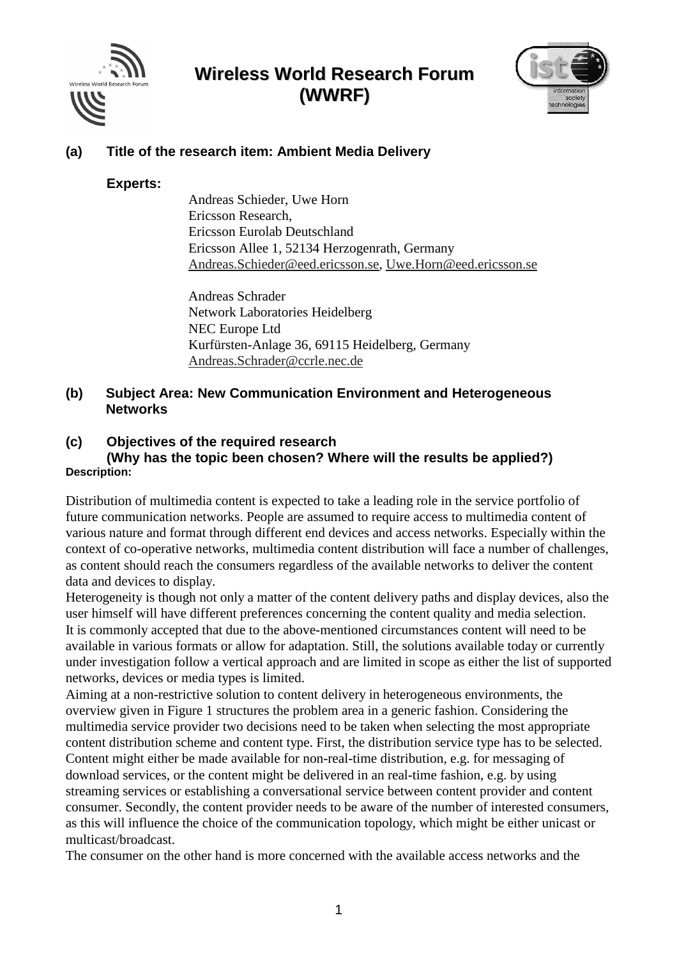



### **(a) Title of the research item: Ambient Media Delivery**

#### **Experts:**

Andreas Schieder, Uwe Horn Ericsson Research, Ericsson Eurolab Deutschland Ericsson Allee 1, 52134 Herzogenrath, Germany Andreas.Schieder@eed.ericsson.se, Uwe.Horn@eed.ericsson.se

Andreas Schrader Network Laboratories Heidelberg NEC Europe Ltd Kurfürsten-Anlage 36, 69115 Heidelberg, Germany Andreas.Schrader@ccrle.nec.de

### **(b) Subject Area: New Communication Environment and Heterogeneous Networks**

### **(c) Objectives of the required research**

**(Why has the topic been chosen? Where will the results be applied?) Description:**

Distribution of multimedia content is expected to take a leading role in the service portfolio of future communication networks. People are assumed to require access to multimedia content of various nature and format through different end devices and access networks. Especially within the context of co-operative networks, multimedia content distribution will face a number of challenges, as content should reach the consumers regardless of the available networks to deliver the content data and devices to display.

Heterogeneity is though not only a matter of the content delivery paths and display devices, also the user himself will have different preferences concerning the content quality and media selection. It is commonly accepted that due to the above-mentioned circumstances content will need to be available in various formats or allow for adaptation. Still, the solutions available today or currently under investigation follow a vertical approach and are limited in scope as either the list of supported networks, devices or media types is limited.

Aiming at a non-restrictive solution to content delivery in heterogeneous environments, the overview given in Figure 1 structures the problem area in a generic fashion. Considering the multimedia service provider two decisions need to be taken when selecting the most appropriate content distribution scheme and content type. First, the distribution service type has to be selected. Content might either be made available for non-real-time distribution, e.g. for messaging of download services, or the content might be delivered in an real-time fashion, e.g. by using streaming services or establishing a conversational service between content provider and content consumer. Secondly, the content provider needs to be aware of the number of interested consumers, as this will influence the choice of the communication topology, which might be either unicast or multicast/broadcast.

The consumer on the other hand is more concerned with the available access networks and the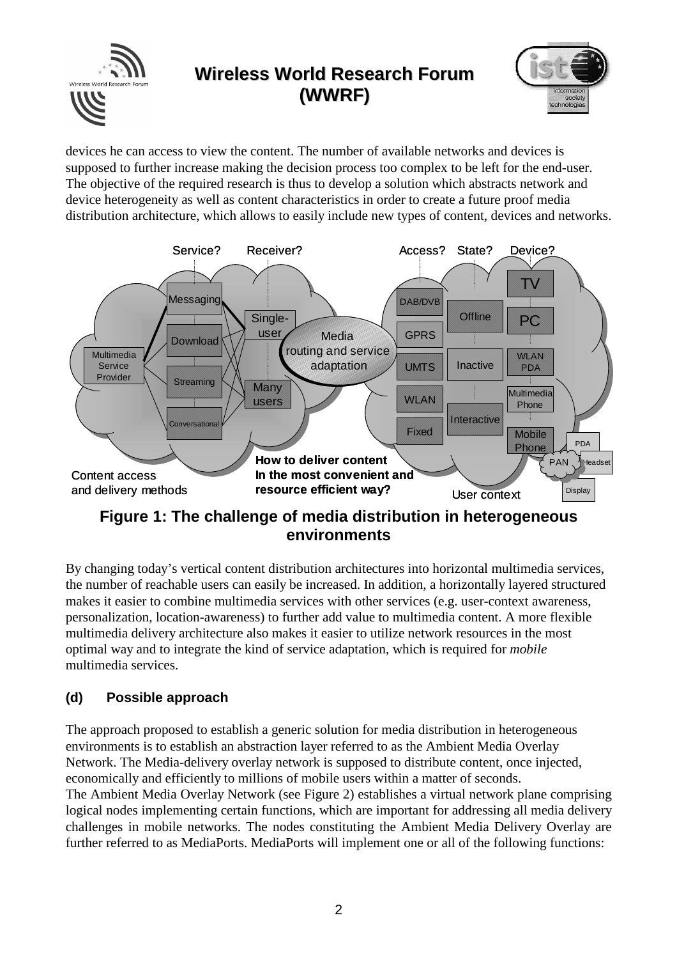**Wireless World Research Forum** Wireless World Research Forur **(WWRF)**

devices he can access to view the content. The number of available networks and devices is supposed to further increase making the decision process too complex to be left for the end-user. The objective of the required research is thus to develop a solution which abstracts network and device heterogeneity as well as content characteristics in order to create a future proof media distribution architecture, which allows to easily include new types of content, devices and networks.



**Figure 1: The challenge of media distribution in heterogeneous environments**

By changing today's vertical content distribution architectures into horizontal multimedia services, the number of reachable users can easily be increased. In addition, a horizontally layered structured makes it easier to combine multimedia services with other services (e.g. user-context awareness, personalization, location-awareness) to further add value to multimedia content. A more flexible multimedia delivery architecture also makes it easier to utilize network resources in the most optimal way and to integrate the kind of service adaptation, which is required for *mobile* multimedia services.

### **(d) Possible approach**

The approach proposed to establish a generic solution for media distribution in heterogeneous environments is to establish an abstraction layer referred to as the Ambient Media Overlay Network. The Media-delivery overlay network is supposed to distribute content, once injected, economically and efficiently to millions of mobile users within a matter of seconds. The Ambient Media Overlay Network (see Figure 2) establishes a virtual network plane comprising

logical nodes implementing certain functions, which are important for addressing all media delivery challenges in mobile networks. The nodes constituting the Ambient Media Delivery Overlay are further referred to as MediaPorts. MediaPorts will implement one or all of the following functions: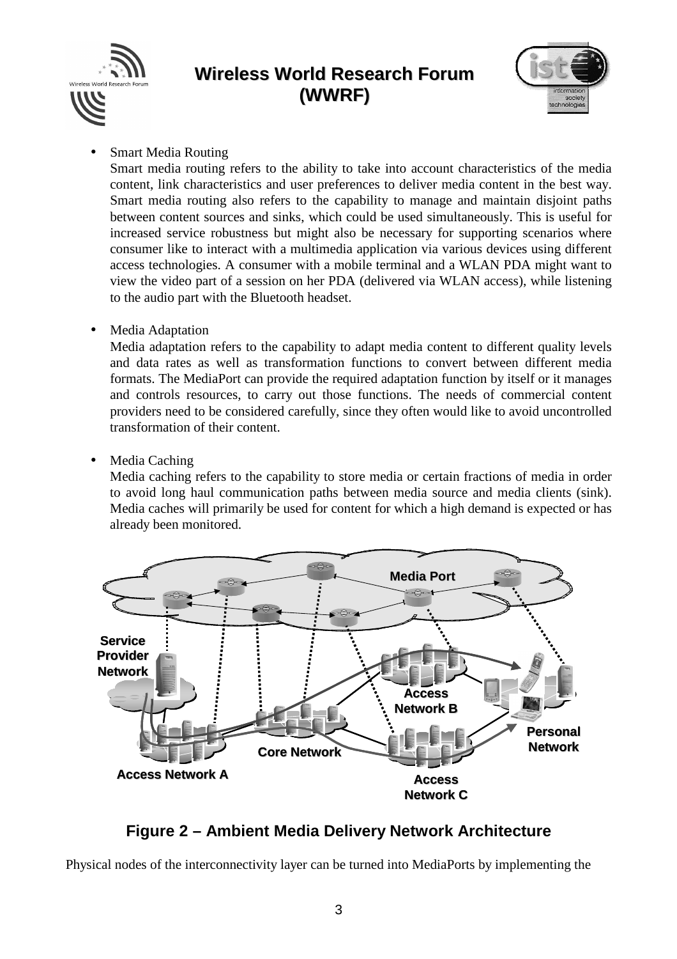



• Smart Media Routing

Smart media routing refers to the ability to take into account characteristics of the media content, link characteristics and user preferences to deliver media content in the best way. Smart media routing also refers to the capability to manage and maintain disjoint paths between content sources and sinks, which could be used simultaneously. This is useful for increased service robustness but might also be necessary for supporting scenarios where consumer like to interact with a multimedia application via various devices using different access technologies. A consumer with a mobile terminal and a WLAN PDA might want to view the video part of a session on her PDA (delivered via WLAN access), while listening to the audio part with the Bluetooth headset.

Media Adaptation

Media adaptation refers to the capability to adapt media content to different quality levels and data rates as well as transformation functions to convert between different media formats. The MediaPort can provide the required adaptation function by itself or it manages and controls resources, to carry out those functions. The needs of commercial content providers need to be considered carefully, since they often would like to avoid uncontrolled transformation of their content.

Media Caching

Media caching refers to the capability to store media or certain fractions of media in order to avoid long haul communication paths between media source and media clients (sink). Media caches will primarily be used for content for which a high demand is expected or has already been monitored.



### **Figure 2 – Ambient Media Delivery Network Architecture**

Physical nodes of the interconnectivity layer can be turned into MediaPorts by implementing the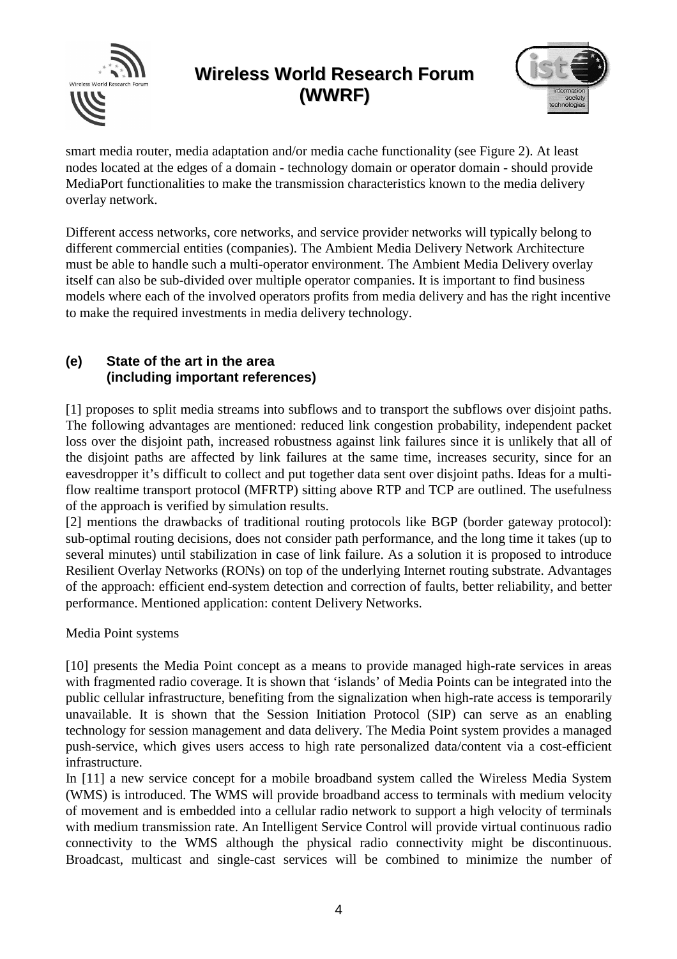



smart media router, media adaptation and/or media cache functionality (see Figure 2). At least nodes located at the edges of a domain - technology domain or operator domain - should provide MediaPort functionalities to make the transmission characteristics known to the media delivery overlay network.

Different access networks, core networks, and service provider networks will typically belong to different commercial entities (companies). The Ambient Media Delivery Network Architecture must be able to handle such a multi-operator environment. The Ambient Media Delivery overlay itself can also be sub-divided over multiple operator companies. It is important to find business models where each of the involved operators profits from media delivery and has the right incentive to make the required investments in media delivery technology.

### **(e) State of the art in the area (including important references)**

[1] proposes to split media streams into subflows and to transport the subflows over disjoint paths. The following advantages are mentioned: reduced link congestion probability, independent packet loss over the disjoint path, increased robustness against link failures since it is unlikely that all of the disjoint paths are affected by link failures at the same time, increases security, since for an eavesdropper it's difficult to collect and put together data sent over disjoint paths. Ideas for a multiflow realtime transport protocol (MFRTP) sitting above RTP and TCP are outlined. The usefulness of the approach is verified by simulation results.

[2] mentions the drawbacks of traditional routing protocols like BGP (border gateway protocol): sub-optimal routing decisions, does not consider path performance, and the long time it takes (up to several minutes) until stabilization in case of link failure. As a solution it is proposed to introduce Resilient Overlay Networks (RONs) on top of the underlying Internet routing substrate. Advantages of the approach: efficient end-system detection and correction of faults, better reliability, and better performance. Mentioned application: content Delivery Networks.

Media Point systems

[10] presents the Media Point concept as a means to provide managed high-rate services in areas with fragmented radio coverage. It is shown that 'islands' of Media Points can be integrated into the public cellular infrastructure, benefiting from the signalization when high-rate access is temporarily unavailable. It is shown that the Session Initiation Protocol (SIP) can serve as an enabling technology for session management and data delivery. The Media Point system provides a managed push-service, which gives users access to high rate personalized data/content via a cost-efficient infrastructure.

In [11] a new service concept for a mobile broadband system called the Wireless Media System (WMS) is introduced. The WMS will provide broadband access to terminals with medium velocity of movement and is embedded into a cellular radio network to support a high velocity of terminals with medium transmission rate. An Intelligent Service Control will provide virtual continuous radio connectivity to the WMS although the physical radio connectivity might be discontinuous. Broadcast, multicast and single-cast services will be combined to minimize the number of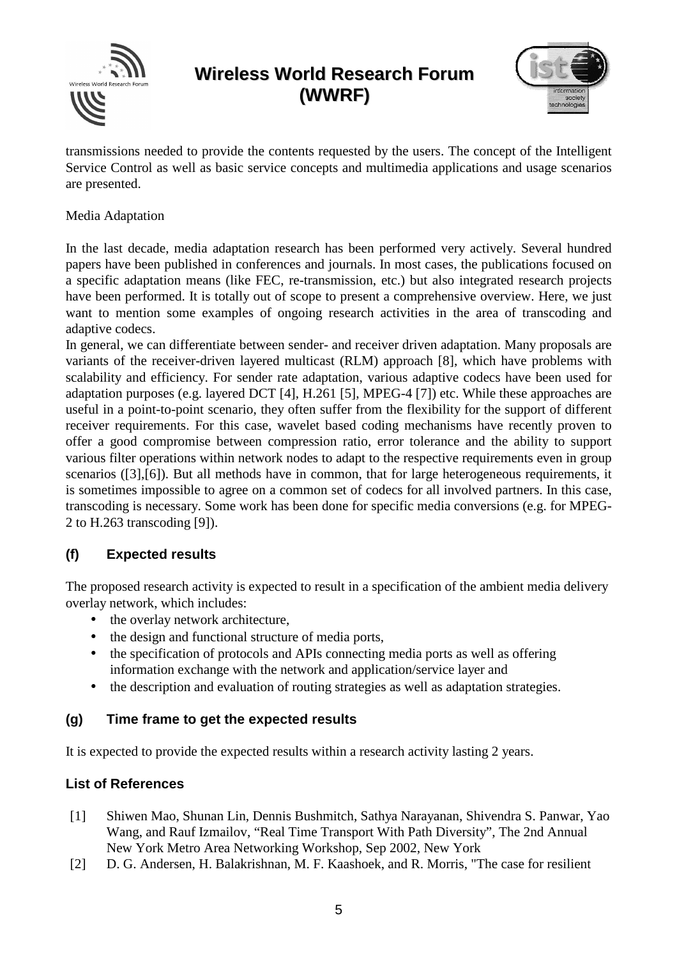



transmissions needed to provide the contents requested by the users. The concept of the Intelligent Service Control as well as basic service concepts and multimedia applications and usage scenarios are presented.

#### Media Adaptation

In the last decade, media adaptation research has been performed very actively. Several hundred papers have been published in conferences and journals. In most cases, the publications focused on a specific adaptation means (like FEC, re-transmission, etc.) but also integrated research projects have been performed. It is totally out of scope to present a comprehensive overview. Here, we just want to mention some examples of ongoing research activities in the area of transcoding and adaptive codecs.

In general, we can differentiate between sender- and receiver driven adaptation. Many proposals are variants of the receiver-driven layered multicast (RLM) approach [8], which have problems with scalability and efficiency. For sender rate adaptation, various adaptive codecs have been used for adaptation purposes (e.g. layered DCT [4], H.261 [5], MPEG-4 [7]) etc. While these approaches are useful in a point-to-point scenario, they often suffer from the flexibility for the support of different receiver requirements. For this case, wavelet based coding mechanisms have recently proven to offer a good compromise between compression ratio, error tolerance and the ability to support various filter operations within network nodes to adapt to the respective requirements even in group scenarios ([3],[6]). But all methods have in common, that for large heterogeneous requirements, it is sometimes impossible to agree on a common set of codecs for all involved partners. In this case, transcoding is necessary. Some work has been done for specific media conversions (e.g. for MPEG-2 to H.263 transcoding [9]).

### **(f) Expected results**

The proposed research activity is expected to result in a specification of the ambient media delivery overlay network, which includes:

- the overlay network architecture,
- the design and functional structure of media ports,
- the specification of protocols and APIs connecting media ports as well as offering information exchange with the network and application/service layer and
- the description and evaluation of routing strategies as well as adaptation strategies.

### **(g) Time frame to get the expected results**

It is expected to provide the expected results within a research activity lasting 2 years.

### **List of References**

- [1] Shiwen Mao, Shunan Lin, Dennis Bushmitch, Sathya Narayanan, Shivendra S. Panwar, Yao Wang, and Rauf Izmailov, "Real Time Transport With Path Diversity", The 2nd Annual New York Metro Area Networking Workshop, Sep 2002, New York
- [2] D. G. Andersen, H. Balakrishnan, M. F. Kaashoek, and R. Morris, "The case for resilient